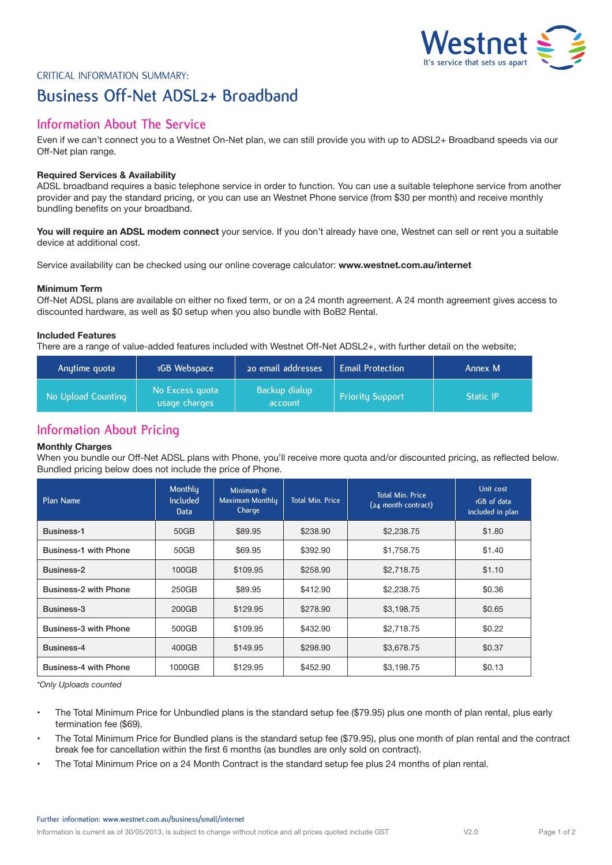

# Critical Information Summary: **Business Off-Net ADSL2+ Broadband**

## **Information About The Service**

Even if we can't connect you to a Westnet On-Net plan, we can still provide you with up to ADSL2+ Broadband speeds via our Off-Net plan range.

## **Required Services & Availability**

ADSL broadband requires a basic telephone service in order to function. You can use a suitable telephone service from another provider and pay the standard pricing, or you can use an Westnet Phone service (from \$30 per month) and receive monthly bundling benefits on your broadband.

**You will require an ADSL modem connect** your service. If you don't already have one, Westnet can sell or rent you a suitable device at additional cost.

Service availability can be checked using our online coverage calculator: **www.westnet.com.au/internet**

## **Minimum Term**

Off-Net ADSL plans are available on either no fixed term, or on a 24 month agreement. A 24 month agreement gives access to discounted hardware, as well as \$0 setup when you also bundle with BoB2 Rental.

### **Included Features**

There are a range of value-added features included with Westnet Off-Net ADSL2+, with further detail on the website;

| Anytime quota      | 1GB Webspace                     | 20 email addresses       | <b>Email Protection</b> | Annex M          |
|--------------------|----------------------------------|--------------------------|-------------------------|------------------|
| No Upload Counting | No Excess quota<br>usage charges | Backup dialup<br>account | <b>Priority Support</b> | <b>Static IP</b> |

## **Information About Pricing**

## **Monthly Charges**

When you bundle our Off-Net ADSL plans with Phone, you'll receive more quota and/or discounted pricing, as reflected below. Bundled pricing below does not include the price of Phone.

| Plan Name                    | Monthly<br>Included<br>Data | Minimum &<br>Maximum Monthly<br>Charge | <b>Total Min. Price</b> | <b>Total Min. Price</b><br>(24 month contract) | Unit cost<br>1GB of data<br>included in plan |
|------------------------------|-----------------------------|----------------------------------------|-------------------------|------------------------------------------------|----------------------------------------------|
| Business-1                   | 50GB                        | \$89.95                                | \$238.90                | \$2,238.75                                     | \$1.80                                       |
| <b>Business-1 with Phone</b> | 50GB                        | \$69.95                                | \$392.90                | \$1,758.75                                     | \$1.40                                       |
| Business-2                   | 100GB                       | \$109.95                               | \$258.90                | \$2,718.75                                     | \$1.10                                       |
| Business-2 with Phone        | 250GB                       | \$89.95                                | \$412.90                | \$2,238.75                                     | \$0.36                                       |
| Business-3                   | 200GB                       | \$129.95                               | \$278.90                | \$3,198.75                                     | \$0.65                                       |
| Business-3 with Phone        | 500GB                       | \$109.95                               | \$432.90                | \$2,718.75                                     | \$0.22                                       |
| Business-4                   | 400GB                       | \$149.95                               | \$298.90                | \$3,678.75                                     | \$0.37                                       |
| Business-4 with Phone        | 1000GB                      | \$129.95                               | \$452.90                | \$3,198.75                                     | \$0.13                                       |

*\*Only Uploads counted*

- The Total Minimum Price for Unbundled plans is the standard setup fee (\$79.95) plus one month of plan rental, plus early termination fee (\$69).
- The Total Minimum Price for Bundled plans is the standard setup fee (\$79.95), plus one month of plan rental and the contract break fee for cancellation within the first 6 months (as bundles are only sold on contract).
- The Total Minimum Price on a 24 Month Contract is the standard setup fee plus 24 months of plan rental.